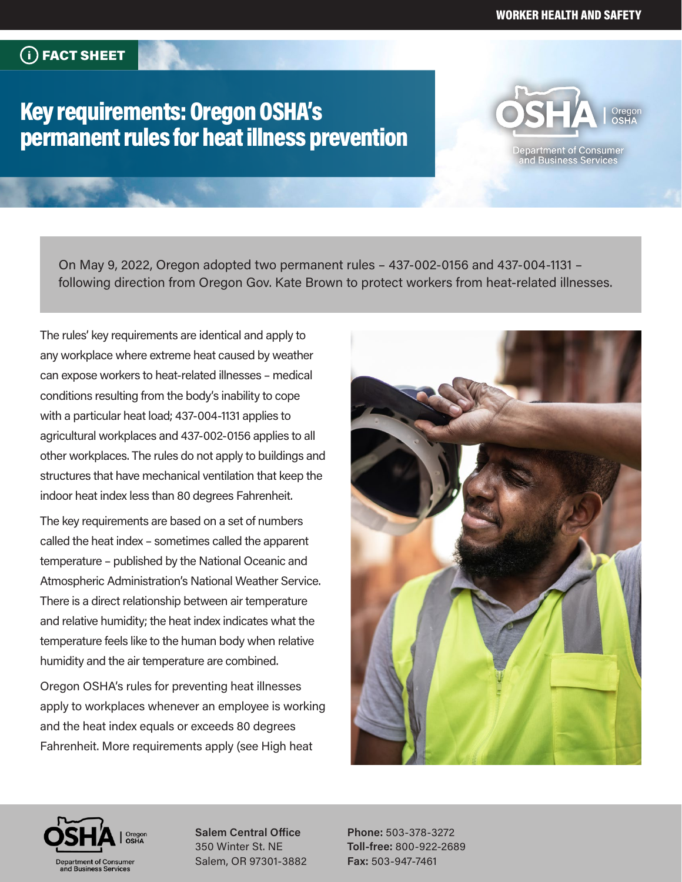# Key requirements: Oregon OSHA's permanent rules for heat illness prevention



On May 9, 2022, Oregon adopted two permanent rules – 437-002-0156 and 437-004-1131 – following direction from Oregon Gov. Kate Brown to protect workers from heat-related illnesses.

The rules' key requirements are identical and apply to any workplace where extreme heat caused by weather can expose workers to heat-related illnesses – medical conditions resulting from the body's inability to cope with a particular heat load; 437-004-1131 applies to agricultural workplaces and 437-002-0156 applies to all other workplaces. The rules do not apply to buildings and structures that have mechanical ventilation that keep the indoor heat index less than 80 degrees Fahrenheit.

The key requirements are based on a set of numbers called the heat index – sometimes called the apparent temperature – published by the National Oceanic and Atmospheric Administration's National Weather Service. There is a direct relationship between air temperature and relative humidity; the heat index indicates what the temperature feels like to the human body when relative humidity and the air temperature are combined.

Oregon OSHA's rules for preventing heat illnesses apply to workplaces whenever an employee is working and the heat index equals or exceeds 80 degrees Fahrenheit. More requirements apply (see High heat





**Salem Central Office** 350 Winter St. NE Salem, OR 97301-3882

**Phone:** 503-378-3272 **Toll-free:** 800-922-2689 **Fax:** 503-947-7461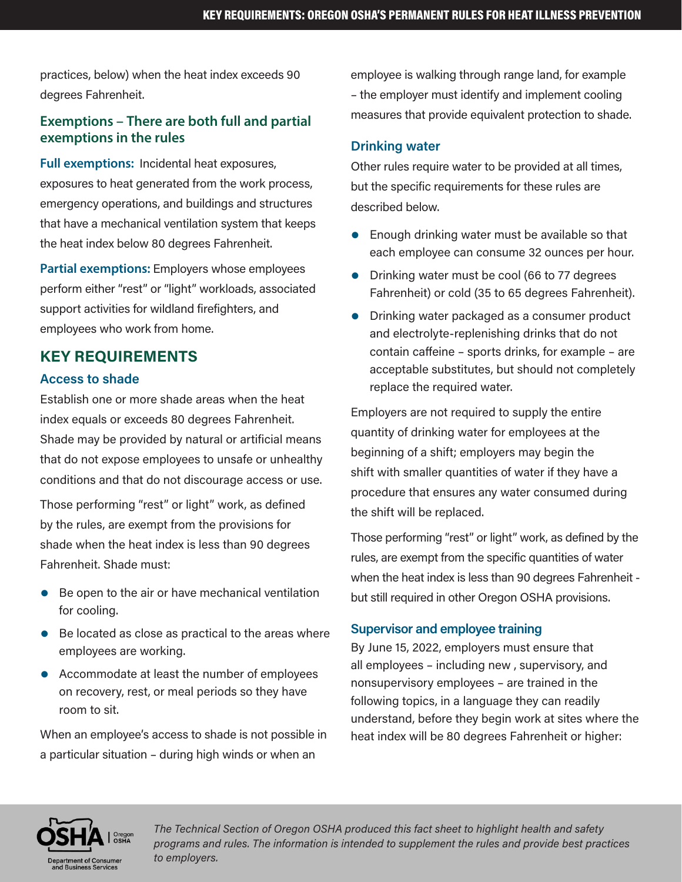practices, below) when the heat index exceeds 90 degrees Fahrenheit.

### **Exemptions – There are both full and partial exemptions in the rules**

**Full exemptions:** Incidental heat exposures, exposures to heat generated from the work process, emergency operations, and buildings and structures that have a mechanical ventilation system that keeps the heat index below 80 degrees Fahrenheit.

**Partial exemptions:** Employers whose employees perform either "rest" or "light" workloads, associated support activities for wildland firefighters, and employees who work from home.

## **KEY REQUIREMENTS**

#### **Access to shade**

Establish one or more shade areas when the heat index equals or exceeds 80 degrees Fahrenheit. Shade may be provided by natural or artificial means that do not expose employees to unsafe or unhealthy conditions and that do not discourage access or use.

Those performing "rest" or light" work, as defined by the rules, are exempt from the provisions for shade when the heat index is less than 90 degrees Fahrenheit. Shade must:

- $\bullet$  Be open to the air or have mechanical ventilation for cooling.
- $\bullet$  Be located as close as practical to the areas where employees are working.
- Accommodate at least the number of employees on recovery, rest, or meal periods so they have room to sit.

When an employee's access to shade is not possible in a particular situation – during high winds or when an

employee is walking through range land, for example – the employer must identify and implement cooling measures that provide equivalent protection to shade.

#### **Drinking water**

Other rules require water to be provided at all times, but the specific requirements for these rules are described below.

- $\bullet$  Enough drinking water must be available so that each employee can consume 32 ounces per hour.
- Drinking water must be cool (66 to 77 degrees Fahrenheit) or cold (35 to 65 degrees Fahrenheit).
- Drinking water packaged as a consumer product and electrolyte-replenishing drinks that do not contain caffeine – sports drinks, for example – are acceptable substitutes, but should not completely replace the required water.

Employers are not required to supply the entire quantity of drinking water for employees at the beginning of a shift; employers may begin the shift with smaller quantities of water if they have a procedure that ensures any water consumed during the shift will be replaced.

Those performing "rest" or light" work, as defined by the rules, are exempt from the specific quantities of water when the heat index is less than 90 degrees Fahrenheit but still required in other Oregon OSHA provisions.

#### **Supervisor and employee training**

By June 15, 2022, employers must ensure that all employees – including new , supervisory, and nonsupervisory employees – are trained in the following topics, in a language they can readily understand, before they begin work at sites where the heat index will be 80 degrees Fahrenheit or higher:



*The Technical Section of Oregon OSHA produced this fact sheet to highlight health and safety programs and rules. The information is intended to supplement the rules and provide best practices to employers.*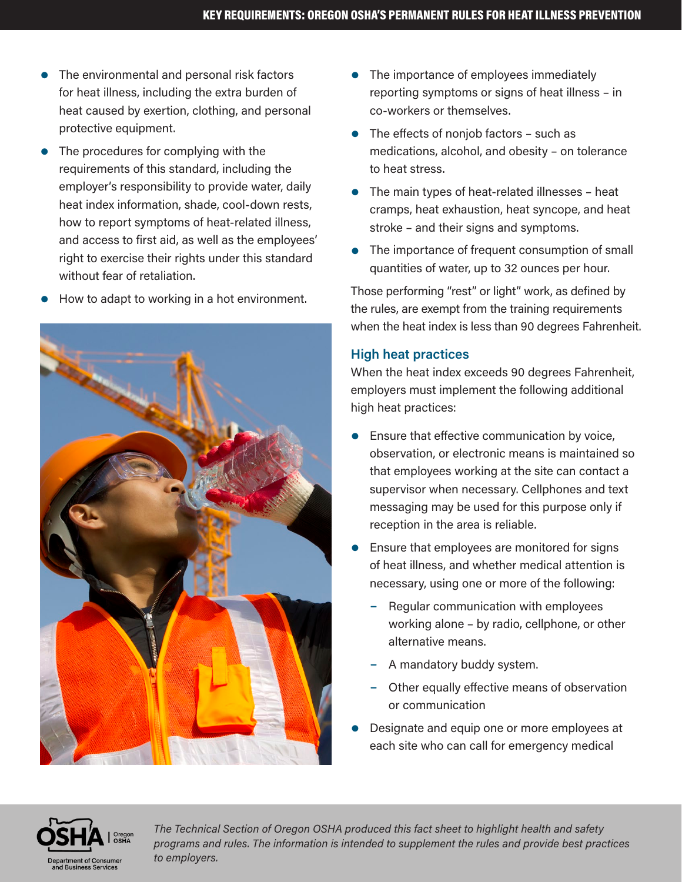- $\bullet$  The environmental and personal risk factors for heat illness, including the extra burden of heat caused by exertion, clothing, and personal protective equipment.
- $\bullet$  The procedures for complying with the requirements of this standard, including the employer's responsibility to provide water, daily heat index information, shade, cool-down rests, how to report symptoms of heat-related illness, and access to first aid, as well as the employees' right to exercise their rights under this standard without fear of retaliation.
- How to adapt to working in a hot environment.



- $\bullet$  The importance of employees immediately reporting symptoms or signs of heat illness – in co-workers or themselves.
- The effects of noniob factors such as medications, alcohol, and obesity – on tolerance to heat stress.
- $\bullet$  The main types of heat-related illnesses heat cramps, heat exhaustion, heat syncope, and heat stroke – and their signs and symptoms.
- The importance of frequent consumption of small quantities of water, up to 32 ounces per hour.

Those performing "rest" or light" work, as defined by the rules, are exempt from the training requirements when the heat index is less than 90 degrees Fahrenheit.

#### **High heat practices**

When the heat index exceeds 90 degrees Fahrenheit, employers must implement the following additional high heat practices:

- Ensure that effective communication by voice, observation, or electronic means is maintained so that employees working at the site can contact a supervisor when necessary. Cellphones and text messaging may be used for this purpose only if reception in the area is reliable.
- Ensure that employees are monitored for signs of heat illness, and whether medical attention is necessary, using one or more of the following:
	- Regular communication with employees working alone – by radio, cellphone, or other alternative means.
	- A mandatory buddy system.
	- Other equally effective means of observation or communication
- Designate and equip one or more employees at each site who can call for emergency medical



*The Technical Section of Oregon OSHA produced this fact sheet to highlight health and safety programs and rules. The information is intended to supplement the rules and provide best practices to employers.*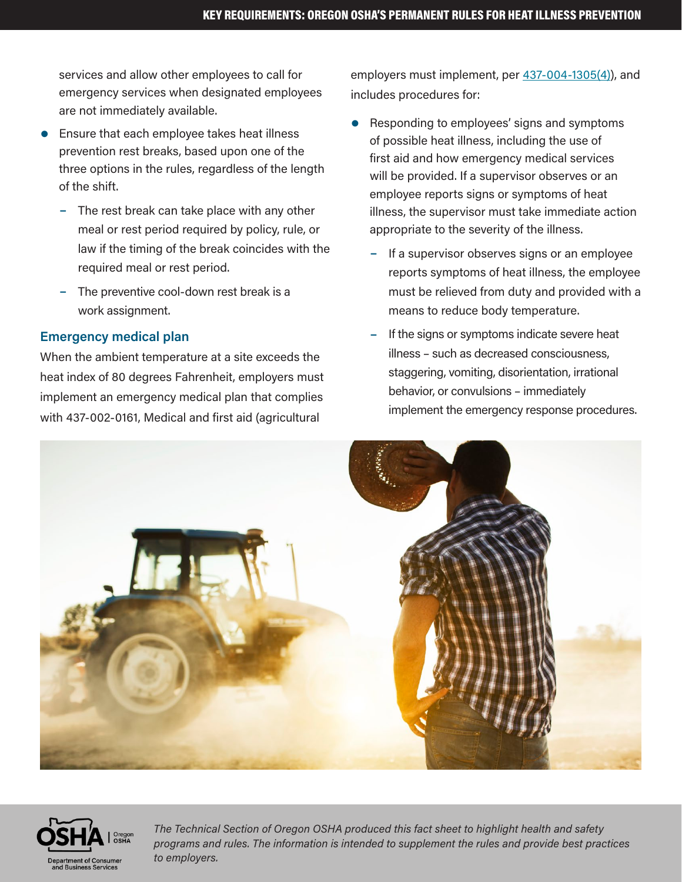services and allow other employees to call for emergency services when designated employees are not immediately available.

- Ensure that each employee takes heat illness prevention rest breaks, based upon one of the three options in the rules, regardless of the length of the shift.
	- $-$  The rest break can take place with any other meal or rest period required by policy, rule, or law if the timing of the break coincides with the required meal or rest period.
	- The preventive cool-down rest break is a work assignment.

#### **Emergency medical plan**

When the ambient temperature at a site exceeds the heat index of 80 degrees Fahrenheit, employers must implement an emergency medical plan that complies with 437-002-0161, Medical and first aid (agricultural

employers must implement, per [437-004-1305\(4\)\)](https://gcc02.safelinks.protection.outlook.com/?url=https%3A%2F%2Fosha.oregon.gov%2FOSHARules%2Fdiv4%2Fdiv4K.pdf&data=05%7C01%7CDominic.L.GROSHONG%40dcbs.oregon.gov%7Ca8d2b162691a447ccb3f08da49a2ae60%7Caa3f6932fa7c47b4a0cea598cad161cf%7C0%7C0%7C637903260300557269%7CUnknown%7CTWFpbGZsb3d8eyJWIjoiMC4wLjAwMDAiLCJQIjoiV2luMzIiLCJBTiI6Ik1haWwiLCJXVCI6Mn0%3D%7C3000%7C%7C%7C&sdata=ypgqe0SEuvedG1gh9aPnGyUfGoF54xkQSgPqOnvUt90%3D&reserved=0), and includes procedures for:

- Responding to employees' signs and symptoms of possible heat illness, including the use of first aid and how emergency medical services will be provided. If a supervisor observes or an employee reports signs or symptoms of heat illness, the supervisor must take immediate action appropriate to the severity of the illness.
	- If a supervisor observes signs or an employee reports symptoms of heat illness, the employee must be relieved from duty and provided with a means to reduce body temperature.
	- If the signs or symptoms indicate severe heat illness – such as decreased consciousness, staggering, vomiting, disorientation, irrational behavior, or convulsions – immediately implement the emergency response procedures.





*The Technical Section of Oregon OSHA produced this fact sheet to highlight health and safety programs and rules. The information is intended to supplement the rules and provide best practices to employers.*